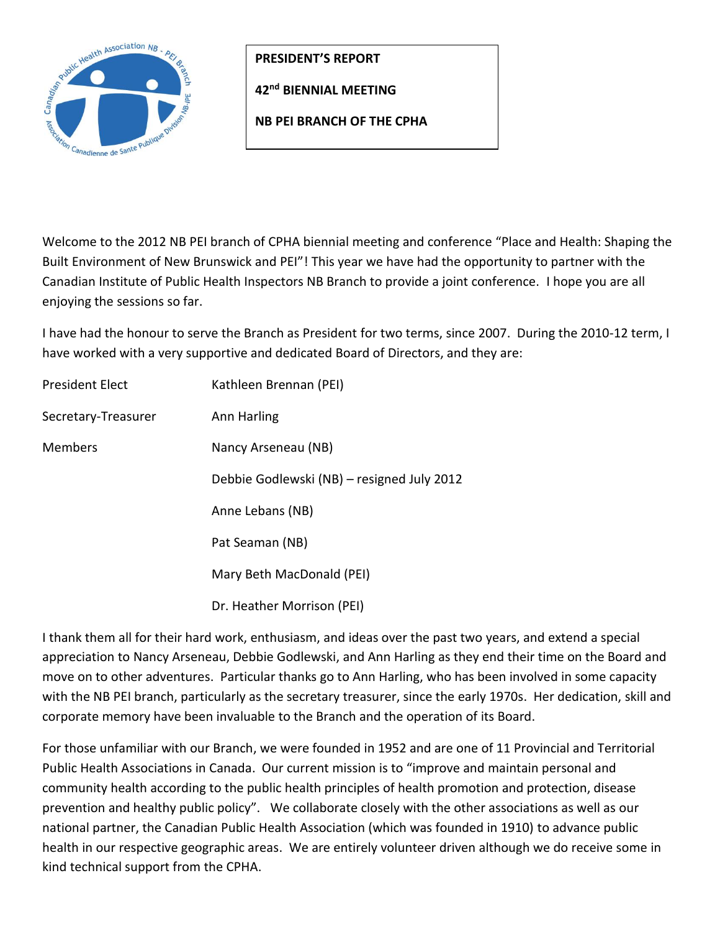

**PRESIDENT'S REPORT**

**42nd BIENNIAL MEETING** 

**NB PEI BRANCH OF THE CPHA**

Welcome to the 2012 NB PEI branch of CPHA biennial meeting and conference "Place and Health: Shaping the Built Environment of New Brunswick and PEI"! This year we have had the opportunity to partner with the Canadian Institute of Public Health Inspectors NB Branch to provide a joint conference. I hope you are all enjoying the sessions so far.

I have had the honour to serve the Branch as President for two terms, since 2007. During the 2010-12 term, I have worked with a very supportive and dedicated Board of Directors, and they are:

| <b>President Elect</b> | Kathleen Brennan (PEI)                     |
|------------------------|--------------------------------------------|
| Secretary-Treasurer    | Ann Harling                                |
| <b>Members</b>         | Nancy Arseneau (NB)                        |
|                        | Debbie Godlewski (NB) – resigned July 2012 |
|                        | Anne Lebans (NB)                           |
|                        | Pat Seaman (NB)                            |
|                        | Mary Beth MacDonald (PEI)                  |
|                        | Dr. Heather Morrison (PEI)                 |

I thank them all for their hard work, enthusiasm, and ideas over the past two years, and extend a special appreciation to Nancy Arseneau, Debbie Godlewski, and Ann Harling as they end their time on the Board and move on to other adventures. Particular thanks go to Ann Harling, who has been involved in some capacity with the NB PEI branch, particularly as the secretary treasurer, since the early 1970s. Her dedication, skill and corporate memory have been invaluable to the Branch and the operation of its Board.

For those unfamiliar with our Branch, we were founded in 1952 and are one of 11 Provincial and Territorial Public Health Associations in Canada. Our current mission is to "improve and maintain personal and community health according to the public health principles of health promotion and protection, disease prevention and healthy public policy". We collaborate closely with the other associations as well as our national partner, the Canadian Public Health Association (which was founded in 1910) to advance public health in our respective geographic areas. We are entirely volunteer driven although we do receive some in kind technical support from the CPHA.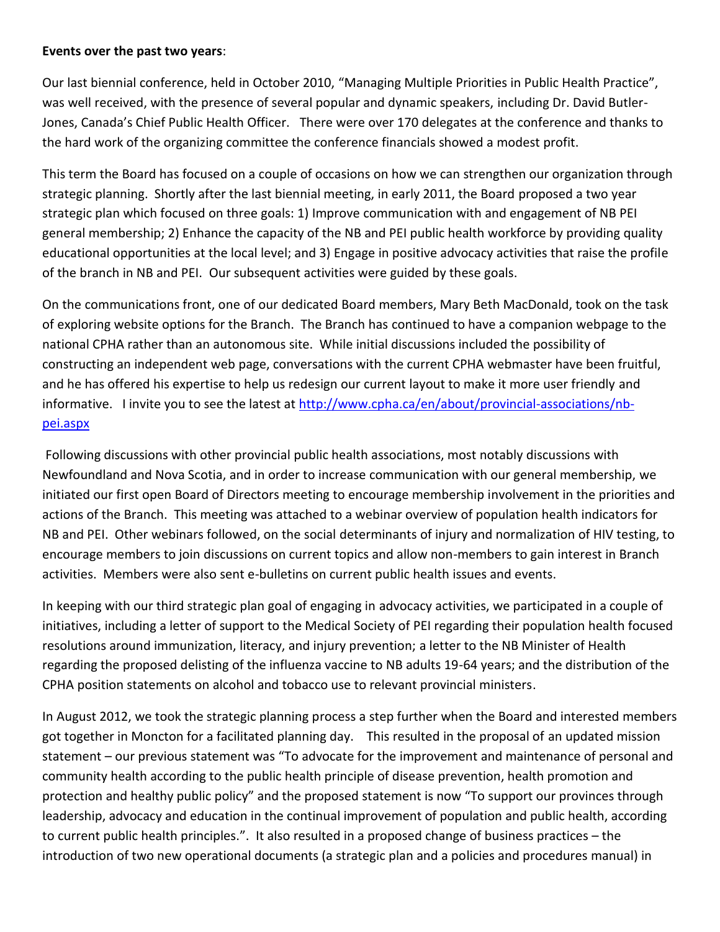## **Events over the past two years**:

Our last biennial conference, held in October 2010, "Managing Multiple Priorities in Public Health Practice", was well received, with the presence of several popular and dynamic speakers, including Dr. David Butler-Jones, Canada's Chief Public Health Officer. There were over 170 delegates at the conference and thanks to the hard work of the organizing committee the conference financials showed a modest profit.

This term the Board has focused on a couple of occasions on how we can strengthen our organization through strategic planning. Shortly after the last biennial meeting, in early 2011, the Board proposed a two year strategic plan which focused on three goals: 1) Improve communication with and engagement of NB PEI general membership; 2) Enhance the capacity of the NB and PEI public health workforce by providing quality educational opportunities at the local level; and 3) Engage in positive advocacy activities that raise the profile of the branch in NB and PEI. Our subsequent activities were guided by these goals.

On the communications front, one of our dedicated Board members, Mary Beth MacDonald, took on the task of exploring website options for the Branch. The Branch has continued to have a companion webpage to the national CPHA rather than an autonomous site. While initial discussions included the possibility of constructing an independent web page, conversations with the current CPHA webmaster have been fruitful, and he has offered his expertise to help us redesign our current layout to make it more user friendly and informative. I invite you to see the latest at [http://www.cpha.ca/en/about/provincial-associations/nb](http://www.cpha.ca/en/about/provincial-associations/nb-pei.aspx)[pei.aspx](http://www.cpha.ca/en/about/provincial-associations/nb-pei.aspx)

Following discussions with other provincial public health associations, most notably discussions with Newfoundland and Nova Scotia, and in order to increase communication with our general membership, we initiated our first open Board of Directors meeting to encourage membership involvement in the priorities and actions of the Branch. This meeting was attached to a webinar overview of population health indicators for NB and PEI. Other webinars followed, on the social determinants of injury and normalization of HIV testing, to encourage members to join discussions on current topics and allow non-members to gain interest in Branch activities. Members were also sent e-bulletins on current public health issues and events.

In keeping with our third strategic plan goal of engaging in advocacy activities, we participated in a couple of initiatives, including a letter of support to the Medical Society of PEI regarding their population health focused resolutions around immunization, literacy, and injury prevention; a letter to the NB Minister of Health regarding the proposed delisting of the influenza vaccine to NB adults 19-64 years; and the distribution of the CPHA position statements on alcohol and tobacco use to relevant provincial ministers.

In August 2012, we took the strategic planning process a step further when the Board and interested members got together in Moncton for a facilitated planning day. This resulted in the proposal of an updated mission statement – our previous statement was "To advocate for the improvement and maintenance of personal and community health according to the public health principle of disease prevention, health promotion and protection and healthy public policy" and the proposed statement is now "To support our provinces through leadership, advocacy and education in the continual improvement of population and public health, according to current public health principles.". It also resulted in a proposed change of business practices – the introduction of two new operational documents (a strategic plan and a policies and procedures manual) in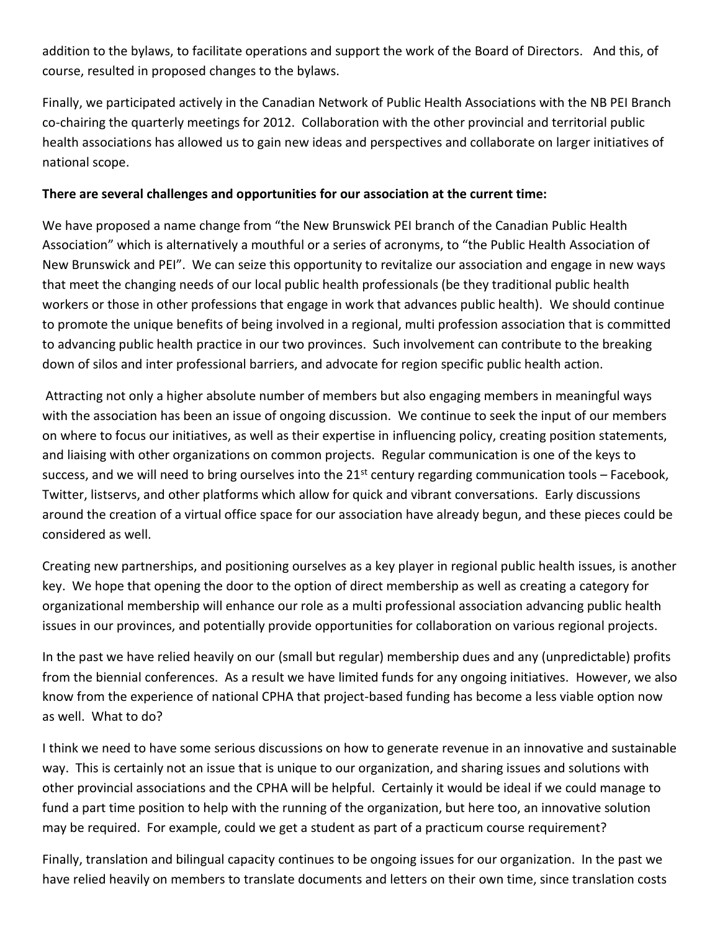addition to the bylaws, to facilitate operations and support the work of the Board of Directors. And this, of course, resulted in proposed changes to the bylaws.

Finally, we participated actively in the Canadian Network of Public Health Associations with the NB PEI Branch co-chairing the quarterly meetings for 2012. Collaboration with the other provincial and territorial public health associations has allowed us to gain new ideas and perspectives and collaborate on larger initiatives of national scope.

## **There are several challenges and opportunities for our association at the current time:**

We have proposed a name change from "the New Brunswick PEI branch of the Canadian Public Health Association" which is alternatively a mouthful or a series of acronyms, to "the Public Health Association of New Brunswick and PEI". We can seize this opportunity to revitalize our association and engage in new ways that meet the changing needs of our local public health professionals (be they traditional public health workers or those in other professions that engage in work that advances public health). We should continue to promote the unique benefits of being involved in a regional, multi profession association that is committed to advancing public health practice in our two provinces. Such involvement can contribute to the breaking down of silos and inter professional barriers, and advocate for region specific public health action.

Attracting not only a higher absolute number of members but also engaging members in meaningful ways with the association has been an issue of ongoing discussion. We continue to seek the input of our members on where to focus our initiatives, as well as their expertise in influencing policy, creating position statements, and liaising with other organizations on common projects. Regular communication is one of the keys to success, and we will need to bring ourselves into the  $21<sup>st</sup>$  century regarding communication tools – Facebook, Twitter, listservs, and other platforms which allow for quick and vibrant conversations. Early discussions around the creation of a virtual office space for our association have already begun, and these pieces could be considered as well.

Creating new partnerships, and positioning ourselves as a key player in regional public health issues, is another key. We hope that opening the door to the option of direct membership as well as creating a category for organizational membership will enhance our role as a multi professional association advancing public health issues in our provinces, and potentially provide opportunities for collaboration on various regional projects.

In the past we have relied heavily on our (small but regular) membership dues and any (unpredictable) profits from the biennial conferences. As a result we have limited funds for any ongoing initiatives. However, we also know from the experience of national CPHA that project-based funding has become a less viable option now as well. What to do?

I think we need to have some serious discussions on how to generate revenue in an innovative and sustainable way. This is certainly not an issue that is unique to our organization, and sharing issues and solutions with other provincial associations and the CPHA will be helpful. Certainly it would be ideal if we could manage to fund a part time position to help with the running of the organization, but here too, an innovative solution may be required. For example, could we get a student as part of a practicum course requirement?

Finally, translation and bilingual capacity continues to be ongoing issues for our organization. In the past we have relied heavily on members to translate documents and letters on their own time, since translation costs